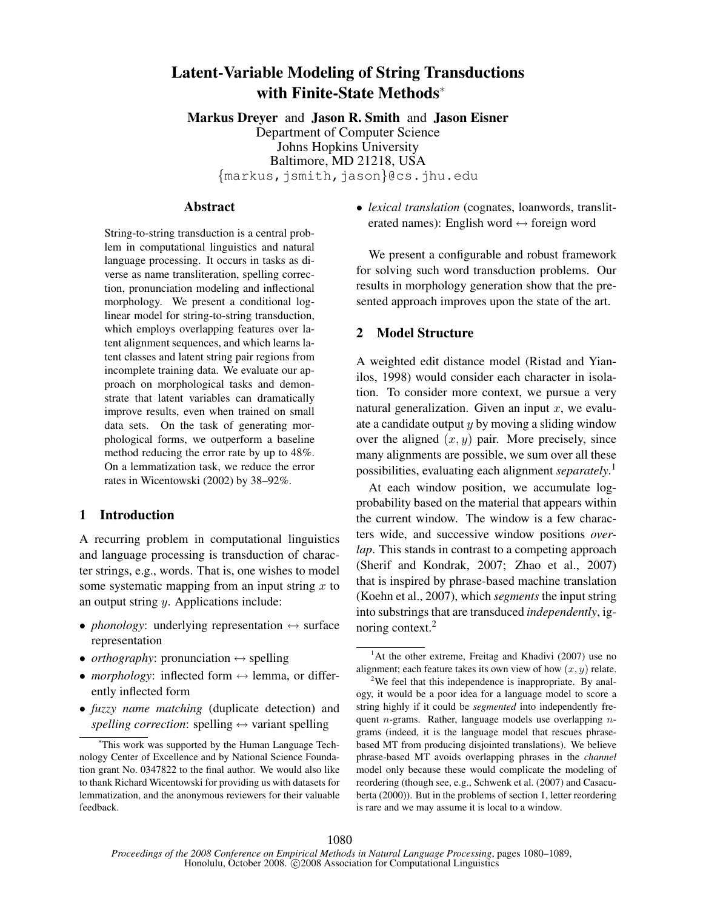# Latent-Variable Modeling of String Transductions with Finite-State Methods<sup>∗</sup>

Markus Dreyer and Jason R. Smith and Jason Eisner Department of Computer Science Johns Hopkins University Baltimore, MD 21218, USA {markus,jsmith,jason}@cs.jhu.edu

### Abstract

String-to-string transduction is a central problem in computational linguistics and natural language processing. It occurs in tasks as diverse as name transliteration, spelling correction, pronunciation modeling and inflectional morphology. We present a conditional loglinear model for string-to-string transduction, which employs overlapping features over latent alignment sequences, and which learns latent classes and latent string pair regions from incomplete training data. We evaluate our approach on morphological tasks and demonstrate that latent variables can dramatically improve results, even when trained on small data sets. On the task of generating morphological forms, we outperform a baseline method reducing the error rate by up to 48%. On a lemmatization task, we reduce the error rates in Wicentowski (2002) by 38–92%.

## 1 Introduction

A recurring problem in computational linguistics and language processing is transduction of character strings, e.g., words. That is, one wishes to model some systematic mapping from an input string  $x$  to an output string y. Applications include:

- *phonology*: underlying representation  $\leftrightarrow$  surface representation
- *orthography*: pronunciation  $\leftrightarrow$  spelling
- *morphology*: inflected form  $\leftrightarrow$  lemma, or differently inflected form
- *fuzzy name matching* (duplicate detection) and *spelling correction*: spelling  $\leftrightarrow$  variant spelling

• *lexical translation* (cognates, loanwords, transliterated names): English word  $\leftrightarrow$  foreign word

We present a configurable and robust framework for solving such word transduction problems. Our results in morphology generation show that the presented approach improves upon the state of the art.

#### 2 Model Structure

A weighted edit distance model (Ristad and Yianilos, 1998) would consider each character in isolation. To consider more context, we pursue a very natural generalization. Given an input  $x$ , we evaluate a candidate output  $y$  by moving a sliding window over the aligned  $(x, y)$  pair. More precisely, since many alignments are possible, we sum over all these possibilities, evaluating each alignment *separately*. 1

At each window position, we accumulate logprobability based on the material that appears within the current window. The window is a few characters wide, and successive window positions *overlap*. This stands in contrast to a competing approach (Sherif and Kondrak, 2007; Zhao et al., 2007) that is inspired by phrase-based machine translation (Koehn et al., 2007), which *segments* the input string into substrings that are transduced *independently*, ignoring context.<sup>2</sup>

<sup>∗</sup>This work was supported by the Human Language Technology Center of Excellence and by National Science Foundation grant No. 0347822 to the final author. We would also like to thank Richard Wicentowski for providing us with datasets for lemmatization, and the anonymous reviewers for their valuable feedback.

<sup>&</sup>lt;sup>1</sup>At the other extreme, Freitag and Khadivi (2007) use no alignment; each feature takes its own view of how  $(x, y)$  relate.

<sup>&</sup>lt;sup>2</sup>We feel that this independence is inappropriate. By analogy, it would be a poor idea for a language model to score a string highly if it could be *segmented* into independently frequent  $n$ -grams. Rather, language models use overlapping  $n$ grams (indeed, it is the language model that rescues phrasebased MT from producing disjointed translations). We believe phrase-based MT avoids overlapping phrases in the *channel* model only because these would complicate the modeling of reordering (though see, e.g., Schwenk et al. (2007) and Casacuberta (2000)). But in the problems of section 1, letter reordering is rare and we may assume it is local to a window.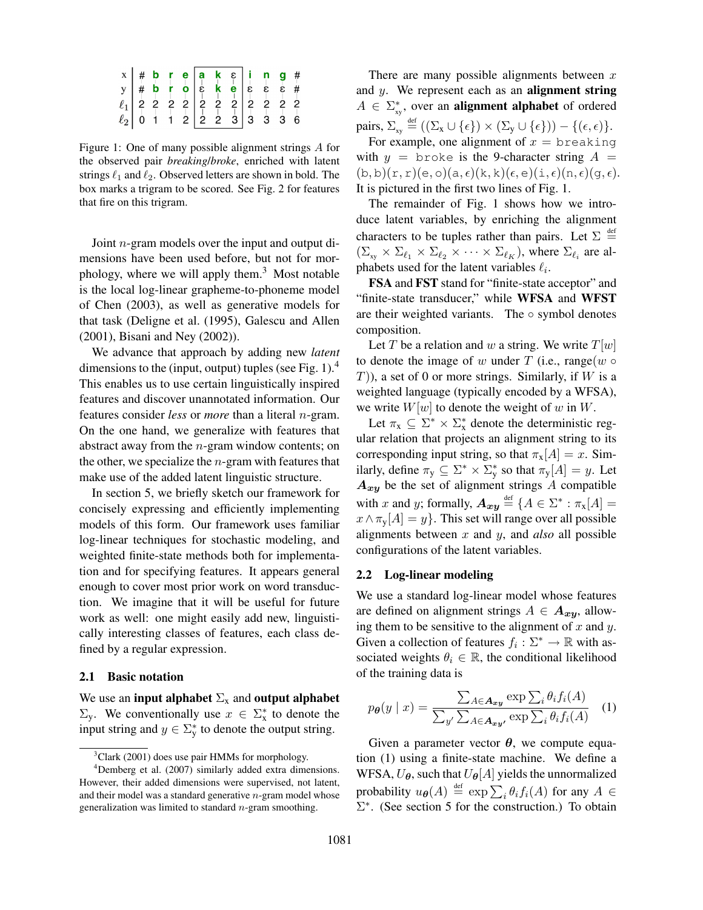Figure 1: One of many possible alignment strings A for the observed pair *breaking*/*broke*, enriched with latent strings  $\ell_1$  and  $\ell_2$ . Observed letters are shown in bold. The box marks a trigram to be scored. See Fig. 2 for features that fire on this trigram.

Joint n-gram models over the input and output dimensions have been used before, but not for morphology, where we will apply them.<sup>3</sup> Most notable is the local log-linear grapheme-to-phoneme model of Chen (2003), as well as generative models for that task (Deligne et al. (1995), Galescu and Allen (2001), Bisani and Ney (2002)).

We advance that approach by adding new *latent* dimensions to the (input, output) tuples (see Fig. 1).<sup>4</sup> This enables us to use certain linguistically inspired features and discover unannotated information. Our features consider *less* or *more* than a literal n-gram. On the one hand, we generalize with features that abstract away from the  $n$ -gram window contents; on the other, we specialize the  $n$ -gram with features that make use of the added latent linguistic structure.

In section 5, we briefly sketch our framework for concisely expressing and efficiently implementing models of this form. Our framework uses familiar log-linear techniques for stochastic modeling, and weighted finite-state methods both for implementation and for specifying features. It appears general enough to cover most prior work on word transduction. We imagine that it will be useful for future work as well: one might easily add new, linguistically interesting classes of features, each class defined by a regular expression.

#### 2.1 Basic notation

We use an input alphabet  $\Sigma_x$  and output alphabet  $\Sigma_y$ . We conventionally use  $x \in \Sigma_x^*$  to denote the input string and  $y \in \sum_{y}^{*}$  to denote the output string.

There are many possible alignments between  $x$ and  $y$ . We represent each as an **alignment string**  $A \in \sum_{xy}^{*}$ , over an **alignment alphabet** of ordered pairs,  $\Sigma_{xy} \stackrel{\text{def}}{=} ((\Sigma_x \cup \{\epsilon\}) \times (\Sigma_y \cup \{\epsilon\})) - \{(\epsilon, \epsilon)\}.$ 

For example, one alignment of  $x = b$  reaking with  $y =$  broke is the 9-character string  $A =$  $(b, b)(r, r)(e, o)(a, \epsilon)(k, k)(\epsilon, e)(i, \epsilon)(n, \epsilon)(q, \epsilon).$ It is pictured in the first two lines of Fig. 1.

The remainder of Fig. 1 shows how we introduce latent variables, by enriching the alignment characters to be tuples rather than pairs. Let  $\Sigma \stackrel{\text{def}}{=}$  $(\Sigma_{xy} \times \Sigma_{\ell_1} \times \Sigma_{\ell_2} \times \cdots \times \Sigma_{\ell_K})$ , where  $\Sigma_{\ell_i}$  are alphabets used for the latent variables  $\ell_i$ .

FSA and FST stand for "finite-state acceptor" and "finite-state transducer," while WFSA and WFST are their weighted variants. The  $\circ$  symbol denotes composition.

Let T be a relation and w a string. We write  $T[w]$ to denote the image of w under T (i.e., range(w  $\circ$  $T$ )), a set of 0 or more strings. Similarly, if W is a weighted language (typically encoded by a WFSA), we write  $W[w]$  to denote the weight of w in W.

Let  $\pi_x \subseteq \Sigma^* \times \Sigma^*_x$  denote the deterministic regular relation that projects an alignment string to its corresponding input string, so that  $\pi_{x}[A] = x$ . Similarly, define  $\pi_y \subseteq \Sigma^* \times \Sigma^*_y$  so that  $\pi_y[A] = y$ . Let  $A_{xy}$  be the set of alignment strings A compatible with x and y; formally,  $\mathbf{A}_{xy} \stackrel{\text{def}}{=} \{A \in \Sigma^* : \pi_{\mathbf{x}}[A] =$  $x \wedge \pi_{\mathsf{v}}[A] = y$ . This set will range over all possible alignments between x and y, and *also* all possible configurations of the latent variables.

#### 2.2 Log-linear modeling

We use a standard log-linear model whose features are defined on alignment strings  $A \in \mathbf{A}_{xy}$ , allowing them to be sensitive to the alignment of  $x$  and  $y$ . Given a collection of features  $f_i : \Sigma^* \to \mathbb{R}$  with associated weights  $\theta_i \in \mathbb{R}$ , the conditional likelihood of the training data is

$$
p_{\theta}(y \mid x) = \frac{\sum_{A \in \mathbf{A}_{xy}} \exp \sum_{i} \theta_{i} f_{i}(A)}{\sum_{y'} \sum_{A \in \mathbf{A}_{xy'}} \exp \sum_{i} \theta_{i} f_{i}(A)} \quad (1)
$$

Given a parameter vector  $\theta$ , we compute equation (1) using a finite-state machine. We define a WFSA,  $U_{\theta}$ , such that  $U_{\theta}[A]$  yields the unnormalized probability  $u_{\theta}(A) \stackrel{\text{def}}{=} \exp \sum_{i} \theta_i f_i(A)$  for any  $A \in$  $\Sigma^*$ . (See section 5 for the construction.) To obtain

 $3$ Clark (2001) does use pair HMMs for morphology.

 $4$ Demberg et al. (2007) similarly added extra dimensions. However, their added dimensions were supervised, not latent, and their model was a standard generative  $n$ -gram model whose generalization was limited to standard  $n$ -gram smoothing.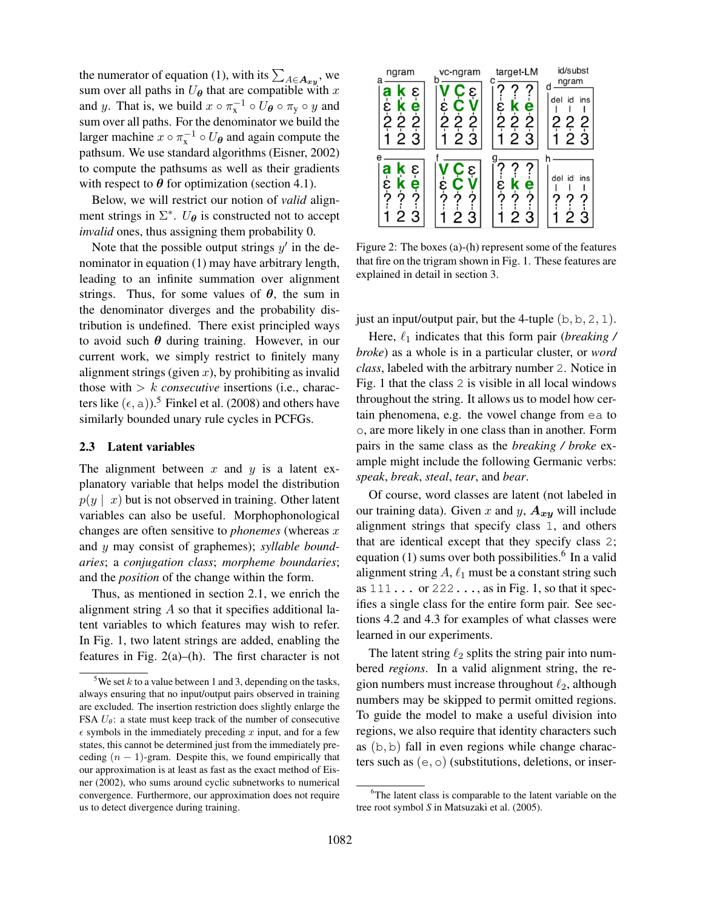the numerator of equation (1), with its  $\sum_{A \in \mathbf{A}_{xy}}$ , we sum over all paths in  $U_{\theta}$  that are compatible with x and y. That is, we build  $x \circ \pi_{x}^{-1} \circ U_{\theta} \circ \pi_{y} \circ y$  and sum over all paths. For the denominator we build the larger machine  $x \circ \pi_{x}^{-1} \circ U_{\theta}$  and again compute the pathsum. We use standard algorithms (Eisner, 2002) to compute the pathsums as well as their gradients with respect to  $\theta$  for optimization (section 4.1).

Below, we will restrict our notion of *valid* alignment strings in  $\Sigma^*$ .  $U_{\theta}$  is constructed not to accept *invalid* ones, thus assigning them probability 0.

Note that the possible output strings  $y'$  in the denominator in equation (1) may have arbitrary length, leading to an infinite summation over alignment strings. Thus, for some values of  $\theta$ , the sum in the denominator diverges and the probability distribution is undefined. There exist principled ways to avoid such  $\theta$  during training. However, in our current work, we simply restrict to finitely many alignment strings (given  $x$ ), by prohibiting as invalid those with  $> k$  *consecutive* insertions (i.e., characters like  $(\epsilon, a)$ ).<sup>5</sup> Finkel et al. (2008) and others have similarly bounded unary rule cycles in PCFGs.

#### 2.3 Latent variables

The alignment between  $x$  and  $y$  is a latent explanatory variable that helps model the distribution  $p(y \mid x)$  but is not observed in training. Other latent variables can also be useful. Morphophonological changes are often sensitive to *phonemes* (whereas x and y may consist of graphemes); *syllable boundaries*; a *conjugation class*; *morpheme boundaries*; and the *position* of the change within the form.

Thus, as mentioned in section 2.1, we enrich the alignment string  $\vec{A}$  so that it specifies additional latent variables to which features may wish to refer. In Fig. 1, two latent strings are added, enabling the features in Fig.  $2(a)$ –(h). The first character is not

| ngram                            | vc-ngram                                     | target-LM                                         | id/subst            |  |  |
|----------------------------------|----------------------------------------------|---------------------------------------------------|---------------------|--|--|
| K                                |                                              |                                                   | ngram               |  |  |
| ε<br>а<br>e                      | G<br>ε<br>C                                  | е                                                 | del id<br>ins       |  |  |
| $-5-0$<br>$\dot{2}$<br>$\dot{2}$ | $\frac{\dot{\epsilon}}{2}$<br>$\dot{2}$<br>2 | $rac{\varepsilon}{2}$ <mark>k</mark><br>$\dot{2}$ | 22<br>2             |  |  |
| $\overline{2}$ $\overline{3}$    | $\overline{2}$<br>3                          | $\overline{2}$<br>3                               | $\overline{2}$<br>Ġ |  |  |
|                                  |                                              |                                                   |                     |  |  |
| ε<br>K                           | έ<br>C                                       |                                                   |                     |  |  |
| <b>a</b><br>ຈະ<br>е              |                                              | е                                                 | del id<br>ins       |  |  |
|                                  | έ<br>?<br>Ô,                                 | ε<br>?                                            | ◠                   |  |  |
| $\overline{2}$ 3                 | 3<br>$\overline{2}$                          | 23                                                | 2<br>З              |  |  |
|                                  |                                              |                                                   |                     |  |  |

Figure 2: The boxes (a)-(h) represent some of the features that fire on the trigram shown in Fig. 1. These features are explained in detail in section 3.

just an input/output pair, but the 4-tuple  $(b, b, 2, 1)$ .

Here,  $\ell_1$  indicates that this form pair (*breaking* / *broke*) as a whole is in a particular cluster, or *word class*, labeled with the arbitrary number 2. Notice in Fig. 1 that the class 2 is visible in all local windows throughout the string. It allows us to model how certain phenomena, e.g. the vowel change from ea to o, are more likely in one class than in another. Form pairs in the same class as the *breaking / broke* example might include the following Germanic verbs: *speak*, *break*, *steal*, *tear*, and *bear*.

Of course, word classes are latent (not labeled in our training data). Given x and y,  $A_{xy}$  will include alignment strings that specify class 1, and others that are identical except that they specify class 2; equation (1) sums over both possibilities.<sup>6</sup> In a valid alignment string  $A, \ell_1$  must be a constant string such as  $111...$  or  $222...$ , as in Fig. 1, so that it specifies a single class for the entire form pair. See sections 4.2 and 4.3 for examples of what classes were learned in our experiments.

The latent string  $\ell_2$  splits the string pair into numbered *regions*. In a valid alignment string, the region numbers must increase throughout  $\ell_2$ , although numbers may be skipped to permit omitted regions. To guide the model to make a useful division into regions, we also require that identity characters such as (b, b) fall in even regions while change characters such as  $(e, o)$  (substitutions, deletions, or inser-

<sup>&</sup>lt;sup>5</sup>We set  $k$  to a value between 1 and 3, depending on the tasks, always ensuring that no input/output pairs observed in training are excluded. The insertion restriction does slightly enlarge the FSA  $U_{\theta}$ : a state must keep track of the number of consecutive  $\epsilon$  symbols in the immediately preceding x input, and for a few states, this cannot be determined just from the immediately preceding  $(n - 1)$ -gram. Despite this, we found empirically that our approximation is at least as fast as the exact method of Eisner (2002), who sums around cyclic subnetworks to numerical convergence. Furthermore, our approximation does not require us to detect divergence during training.

 $6$ The latent class is comparable to the latent variable on the tree root symbol *S* in Matsuzaki et al. (2005).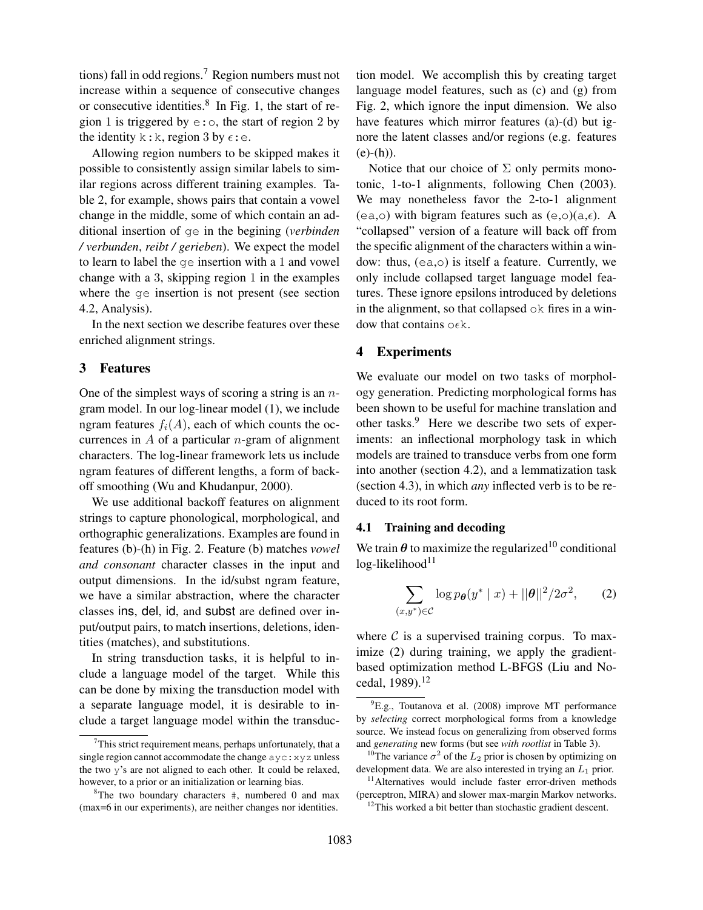tions) fall in odd regions.<sup>7</sup> Region numbers must not increase within a sequence of consecutive changes or consecutive identities. $8 \text{ In Fig. 1, the start of re-}$ gion 1 is triggered by  $e: \circ$ , the start of region 2 by the identity k:k, region 3 by  $\epsilon$ :e.

Allowing region numbers to be skipped makes it possible to consistently assign similar labels to similar regions across different training examples. Table 2, for example, shows pairs that contain a vowel change in the middle, some of which contain an additional insertion of ge in the begining (*verbinden / verbunden*, *reibt / gerieben*). We expect the model to learn to label the ge insertion with a 1 and vowel change with a 3, skipping region 1 in the examples where the ge insertion is not present (see section 4.2, Analysis).

In the next section we describe features over these enriched alignment strings.

# 3 Features

One of the simplest ways of scoring a string is an  $n$ gram model. In our log-linear model (1), we include ngram features  $f_i(A)$ , each of which counts the occurrences in  $A$  of a particular *n*-gram of alignment characters. The log-linear framework lets us include ngram features of different lengths, a form of backoff smoothing (Wu and Khudanpur, 2000).

We use additional backoff features on alignment strings to capture phonological, morphological, and orthographic generalizations. Examples are found in features (b)-(h) in Fig. 2. Feature (b) matches *vowel and consonant* character classes in the input and output dimensions. In the id/subst ngram feature, we have a similar abstraction, where the character classes ins, del, id, and subst are defined over input/output pairs, to match insertions, deletions, identities (matches), and substitutions.

In string transduction tasks, it is helpful to include a language model of the target. While this can be done by mixing the transduction model with a separate language model, it is desirable to include a target language model within the transduction model. We accomplish this by creating target language model features, such as (c) and (g) from Fig. 2, which ignore the input dimension. We also have features which mirror features (a)-(d) but ignore the latent classes and/or regions (e.g. features  $(e)-(h)$ ).

Notice that our choice of  $\Sigma$  only permits monotonic, 1-to-1 alignments, following Chen (2003). We may nonetheless favor the 2-to-1 alignment (ea,o) with bigram features such as  $(e, o)(a, \epsilon)$ . A "collapsed" version of a feature will back off from the specific alignment of the characters within a window: thus, (ea,o) is itself a feature. Currently, we only include collapsed target language model features. These ignore epsilons introduced by deletions in the alignment, so that collapsed  $\circ$ k fires in a window that contains  $\circ \epsilon$ k.

## 4 Experiments

We evaluate our model on two tasks of morphology generation. Predicting morphological forms has been shown to be useful for machine translation and other tasks.<sup>9</sup> Here we describe two sets of experiments: an inflectional morphology task in which models are trained to transduce verbs from one form into another (section 4.2), and a lemmatization task (section 4.3), in which *any* inflected verb is to be reduced to its root form.

### 4.1 Training and decoding

We train  $\theta$  to maximize the regularized<sup>10</sup> conditional  $log$ -likelihood $11$ 

$$
\sum_{(x,y^*)\in\mathcal{C}} \log p_{\theta}(y^* \mid x) + ||\theta||^2 / 2\sigma^2, \qquad (2)
$$

where  $\mathcal C$  is a supervised training corpus. To maximize (2) during training, we apply the gradientbased optimization method L-BFGS (Liu and Nocedal, 1989).<sup>12</sup>

 $7$ This strict requirement means, perhaps unfortunately, that a single region cannot accommodate the change  $avgz$ :  $xyz$  unless the two y's are not aligned to each other. It could be relaxed, however, to a prior or an initialization or learning bias.

<sup>&</sup>lt;sup>8</sup>The two boundary characters  $\#$ , numbered 0 and max (max=6 in our experiments), are neither changes nor identities.

<sup>9</sup>E.g., Toutanova et al. (2008) improve MT performance by *selecting* correct morphological forms from a knowledge source. We instead focus on generalizing from observed forms and *generating* new forms (but see *with rootlist* in Table 3).

<sup>&</sup>lt;sup>10</sup>The variance  $\sigma^2$  of the  $L_2$  prior is chosen by optimizing on development data. We are also interested in trying an  $L_1$  prior.

<sup>&</sup>lt;sup>11</sup>Alternatives would include faster error-driven methods (perceptron, MIRA) and slower max-margin Markov networks.

 $12$ This worked a bit better than stochastic gradient descent.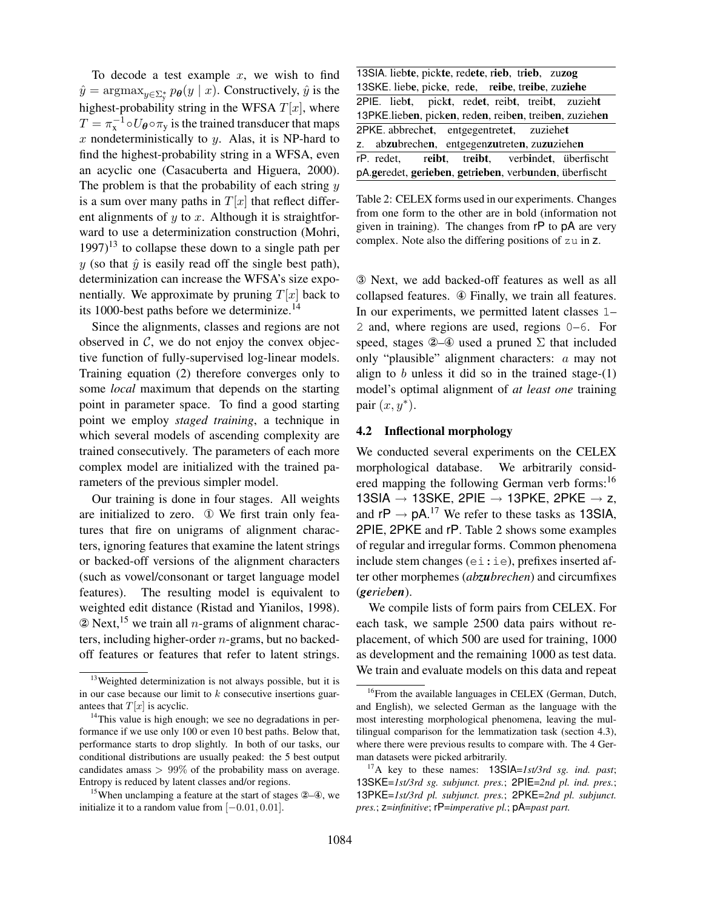To decode a test example  $x$ , we wish to find  $\hat{y} = \operatorname{argmax}_{y \in \Sigma^*_{\mathcal{Y}}} p_{\theta}(y \mid x)$ . Constructively,  $\hat{y}$  is the highest-probability string in the WFSA  $T[x]$ , where  $T = \pi_{\rm x}^{-1} \circ U_{\theta} \circ \pi_{\rm y}$  is the trained transducer that maps x nondeterministically to  $y$ . Alas, it is NP-hard to find the highest-probability string in a WFSA, even an acyclic one (Casacuberta and Higuera, 2000). The problem is that the probability of each string  $y$ is a sum over many paths in  $T[x]$  that reflect different alignments of  $y$  to  $x$ . Although it is straightforward to use a determinization construction (Mohri,  $1997$ <sup>13</sup> to collapse these down to a single path per y (so that  $\hat{y}$  is easily read off the single best path), determinization can increase the WFSA's size exponentially. We approximate by pruning  $T[x]$  back to its 1000-best paths before we determinize.<sup>14</sup>

Since the alignments, classes and regions are not observed in  $C$ , we do not enjoy the convex objective function of fully-supervised log-linear models. Training equation (2) therefore converges only to some *local* maximum that depends on the starting point in parameter space. To find a good starting point we employ *staged training*, a technique in which several models of ascending complexity are trained consecutively. The parameters of each more complex model are initialized with the trained parameters of the previous simpler model.

Our training is done in four stages. All weights are initialized to zero. ① We first train only features that fire on unigrams of alignment characters, ignoring features that examine the latent strings or backed-off versions of the alignment characters (such as vowel/consonant or target language model features). The resulting model is equivalent to weighted edit distance (Ristad and Yianilos, 1998).  $\Omega$  Next, <sup>15</sup> we train all *n*-grams of alignment characters, including higher-order  $n$ -grams, but no backedoff features or features that refer to latent strings.

| 13SIA. liebte, pickte, redete, rieb, trieb, zuzog      |  |  |  |  |  |  |  |  |  |  |
|--------------------------------------------------------|--|--|--|--|--|--|--|--|--|--|
| 13SKE. liebe, picke, rede, reibe, treibe, zuziehe      |  |  |  |  |  |  |  |  |  |  |
| 2PIE. liebt, pickt, redet, reibt, treibt, zuzieht      |  |  |  |  |  |  |  |  |  |  |
| 13PKE.lieben, picken, reden, reiben, treiben, zuziehen |  |  |  |  |  |  |  |  |  |  |
| 2PKE. abbrechet, entgegentretet, zuziehet              |  |  |  |  |  |  |  |  |  |  |
| z. abzubrechen, entgegenzutreten, zuzuziehen           |  |  |  |  |  |  |  |  |  |  |
| rP. redet, reibt, treibt, verbindet, überfischt        |  |  |  |  |  |  |  |  |  |  |
| pA.geredet, gerieben, getrieben, verbunden, überfischt |  |  |  |  |  |  |  |  |  |  |

Table 2: CELEX forms used in our experiments. Changes from one form to the other are in bold (information not given in training). The changes from rP to pA are very complex. Note also the differing positions of zu in z.

③ Next, we add backed-off features as well as all collapsed features. ④ Finally, we train all features. In our experiments, we permitted latent classes 1– 2 and, where regions are used, regions 0–6. For speed, stages  $\mathcal{Q}$ – $\mathcal{Q}$  used a pruned  $\Sigma$  that included only "plausible" alignment characters: a may not align to  $b$  unless it did so in the trained stage- $(1)$ model's optimal alignment of *at least one* training pair  $(x, y^*)$ .

## 4.2 Inflectional morphology

We conducted several experiments on the CELEX morphological database. We arbitrarily considered mapping the following German verb forms:<sup>16</sup> 13SIA  $\rightarrow$  13SKE, 2PIE  $\rightarrow$  13PKE, 2PKE  $\rightarrow$  z, and  $\mathsf{r} \mathsf{P} \to \mathsf{p} \mathsf{A}$ .<sup>17</sup> We refer to these tasks as 13SIA, 2PIE, 2PKE and rP. Table 2 shows some examples of regular and irregular forms. Common phenomena include stem changes (ei:ie), prefixes inserted after other morphemes (*abzubrechen*) and circumfixes (*gerieben*).

We compile lists of form pairs from CELEX. For each task, we sample 2500 data pairs without replacement, of which 500 are used for training, 1000 as development and the remaining 1000 as test data. We train and evaluate models on this data and repeat

<sup>&</sup>lt;sup>13</sup>Weighted determinization is not always possible, but it is in our case because our limit to  $k$  consecutive insertions guarantees that  $T[x]$  is acyclic.

<sup>&</sup>lt;sup>14</sup>This value is high enough; we see no degradations in performance if we use only 100 or even 10 best paths. Below that, performance starts to drop slightly. In both of our tasks, our conditional distributions are usually peaked: the 5 best output candidates amass  $> 99\%$  of the probability mass on average. Entropy is reduced by latent classes and/or regions.

<sup>&</sup>lt;sup>15</sup>When unclamping a feature at the start of stages  $(2-4)$ , we initialize it to a random value from  $[-0.01, 0.01]$ .

<sup>&</sup>lt;sup>16</sup>From the available languages in CELEX (German, Dutch, and English), we selected German as the language with the most interesting morphological phenomena, leaving the multilingual comparison for the lemmatization task (section 4.3), where there were previous results to compare with. The 4 German datasets were picked arbitrarily.

<sup>17</sup>A key to these names: 13SIA=*1st/3rd sg. ind. past*; 13SKE=*1st/3rd sg. subjunct. pres.*; 2PIE=*2nd pl. ind. pres.*; 13PKE=*1st/3rd pl. subjunct. pres.*; 2PKE=*2nd pl. subjunct. pres.*; z=*infinitive*; rP=*imperative pl.*; pA=*past part.*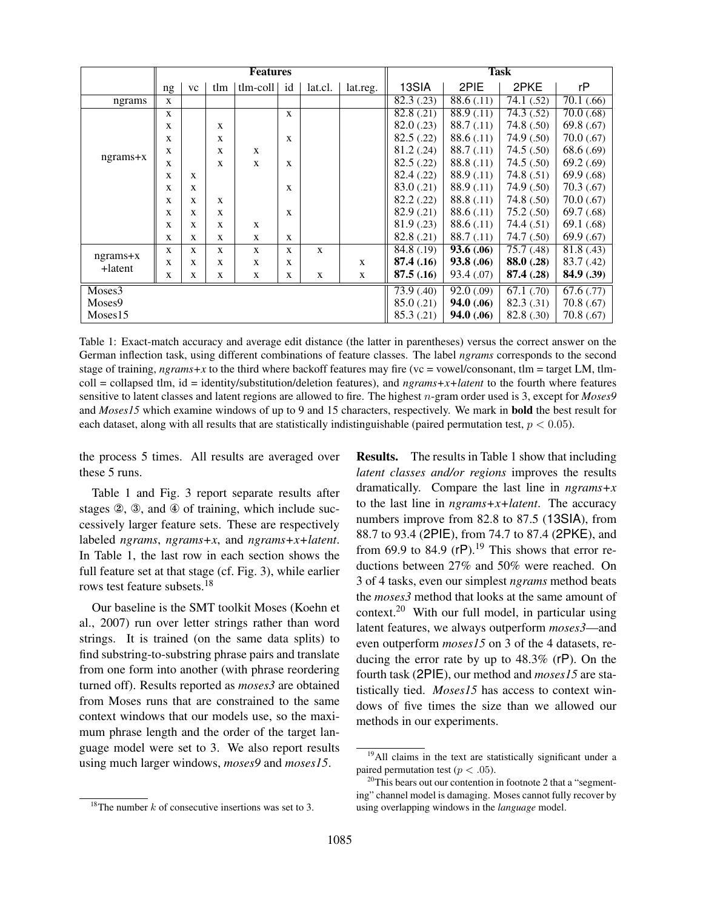|                       | <b>Features</b> |              |              |                         |              |                         |             | <b>Task</b>         |                         |                         |                         |  |
|-----------------------|-----------------|--------------|--------------|-------------------------|--------------|-------------------------|-------------|---------------------|-------------------------|-------------------------|-------------------------|--|
|                       | ng              | <b>VC</b>    | tlm          | tlm-coll                | id           | lat.cl.                 | lat.reg.    | 13SIA               | 2PIE                    | 2PKE                    | rP                      |  |
| ngrams                | $\mathbf{X}$    |              |              |                         |              |                         |             | $\sqrt{82.3}$ (.23) | 88.6(.11)               | 74.1(52)                | 70.1(66)                |  |
|                       | X               |              |              |                         | $\mathbf{x}$ |                         |             | 82.8(.21)           | $\overline{88.9}$ (.11) | $\overline{74.3}$ (.52) | $\overline{70.0}$ (.68) |  |
|                       | X               |              | $\mathbf{x}$ |                         |              |                         |             | 82.0(.23)           | 88.7(0.11)              | 74.8(.50)               | 69.8 $(.67)$            |  |
|                       | X               |              | X            |                         | $\mathbf{x}$ |                         |             | 82.5(.22)           | 88.6(.11)               | 74.9 (.50)              | 70.0(0.67)              |  |
|                       | X               |              | X            | $\mathbf{X}$            |              |                         |             | 81.2(.24)           | 88.7(0.11)              | 74.5(.50)               | 68.6 (.69)              |  |
| $ngrams+x$            | X               |              | X            | X                       | X            |                         |             | 82.5(.22)           | 88.8 (.11)              | 74.5(.50)               | 69.2 $(.69)$            |  |
|                       | X               | $\mathbf{X}$ |              |                         |              |                         |             | 82.4 (.22)          | 88.9(0.11)              | 74.8(.51)               | 69.9 $(.68)$            |  |
|                       | X               | X            |              |                         | X            |                         |             | 83.0 (.21)          | 88.9 (.11)              | 74.9 (.50)              | 70.3(0.67)              |  |
|                       | X               | $\mathbf{x}$ | X            |                         |              |                         |             | 82.2 (.22)          | 88.8 (.11)              | 74.8 (.50)              | 70.0(0.67)              |  |
|                       | X               | $\mathbf{x}$ | X            |                         | X            |                         |             | 82.9 (.21)          | 88.6(.11)               | 75.2(.50)               | 69.7 $(.68)$            |  |
|                       | X               | X            | X            | X                       |              |                         |             | 81.9(0.23)          | 88.6(0.11)              | 74.4(.51)               | 69.1 (.68)              |  |
|                       | X               | X            | X            | X                       | X            |                         |             | 82.8 (.21)          | 88.7(0.11)              | 74.7(.50)               | 69.9 $(.67)$            |  |
|                       | X               | $\mathbf{X}$ | X            | $\mathbf{X}$            | $\mathbf{X}$ | $\mathbf{X}$            |             | 84.8(0.19)          | 93.6(.06)               | 75.7(48)                | 81.8(.43)               |  |
| $ngrams+x$<br>+latent | X               | X            | X            | X                       | X            |                         | $\mathbf X$ | 87.4 (.16)          | 93.8(0.06)              | 88.0 (.28)              | 83.7 (.42)              |  |
|                       | X               | X            | X            | X                       | X            | X                       | $\mathbf X$ | 87.5(.16)           | 93.4 (.07)              | 87.4 (.28)              | 84.9(0.39)              |  |
| Moses3                |                 |              |              | $\overline{73.9}$ (.40) | 92.0(0.09)   | $\overline{67.1}$ (.70) | 67.6(.77)   |                     |                         |                         |                         |  |
| Moses9                |                 |              |              |                         |              | 85.0(0.21)              | 94.0(0.06)  | 82.3 (.31)          | 70.8(.67)               |                         |                         |  |
| Moses15               |                 |              |              |                         |              |                         | 85.3(0.21)  | 94.0 (.06)          | 82.8 (.30)              | 70.8(0.67)              |                         |  |

Table 1: Exact-match accuracy and average edit distance (the latter in parentheses) versus the correct answer on the German inflection task, using different combinations of feature classes. The label *ngrams* corresponds to the second stage of training,  $ngrams + x$  to the third where backoff features may fire (vc = vowel/consonant, tlm = target LM, tlmcoll = collapsed tlm, id = identity/substitution/deletion features), and *ngrams+x+latent* to the fourth where features sensitive to latent classes and latent regions are allowed to fire. The highest n-gram order used is 3, except for *Moses9* and *Moses15* which examine windows of up to 9 and 15 characters, respectively. We mark in bold the best result for each dataset, along with all results that are statistically indistinguishable (paired permutation test,  $p < 0.05$ ).

the process 5 times. All results are averaged over these 5 runs.

Table 1 and Fig. 3 report separate results after stages ②, ③, and ④ of training, which include successively larger feature sets. These are respectively labeled *ngrams*, *ngrams+x*, and *ngrams+x+latent*. In Table 1, the last row in each section shows the full feature set at that stage (cf. Fig. 3), while earlier rows test feature subsets  $18$ 

Our baseline is the SMT toolkit Moses (Koehn et al., 2007) run over letter strings rather than word strings. It is trained (on the same data splits) to find substring-to-substring phrase pairs and translate from one form into another (with phrase reordering turned off). Results reported as *moses3* are obtained from Moses runs that are constrained to the same context windows that our models use, so the maximum phrase length and the order of the target language model were set to 3. We also report results using much larger windows, *moses9* and *moses15*.

Results. The results in Table 1 show that including *latent classes and/or regions* improves the results dramatically. Compare the last line in *ngrams+x* to the last line in *ngrams+x+latent*. The accuracy numbers improve from 82.8 to 87.5 (13SIA), from 88.7 to 93.4 (2PIE), from 74.7 to 87.4 (2PKE), and from 69.9 to 84.9 ( $rP$ ).<sup>19</sup> This shows that error reductions between 27% and 50% were reached. On 3 of 4 tasks, even our simplest *ngrams* method beats the *moses3* method that looks at the same amount of context.<sup>20</sup> With our full model, in particular using latent features, we always outperform *moses3*—and even outperform *moses15* on 3 of the 4 datasets, reducing the error rate by up to 48.3% (rP). On the fourth task (2PIE), our method and *moses15* are statistically tied. *Moses15* has access to context windows of five times the size than we allowed our methods in our experiments.

<sup>&</sup>lt;sup>18</sup>The number  $k$  of consecutive insertions was set to 3.

<sup>&</sup>lt;sup>19</sup>All claims in the text are statistically significant under a paired permutation test ( $p < .05$ ).

 $20$ <sup>20</sup>This bears out our contention in footnote 2 that a "segmenting" channel model is damaging. Moses cannot fully recover by using overlapping windows in the *language* model.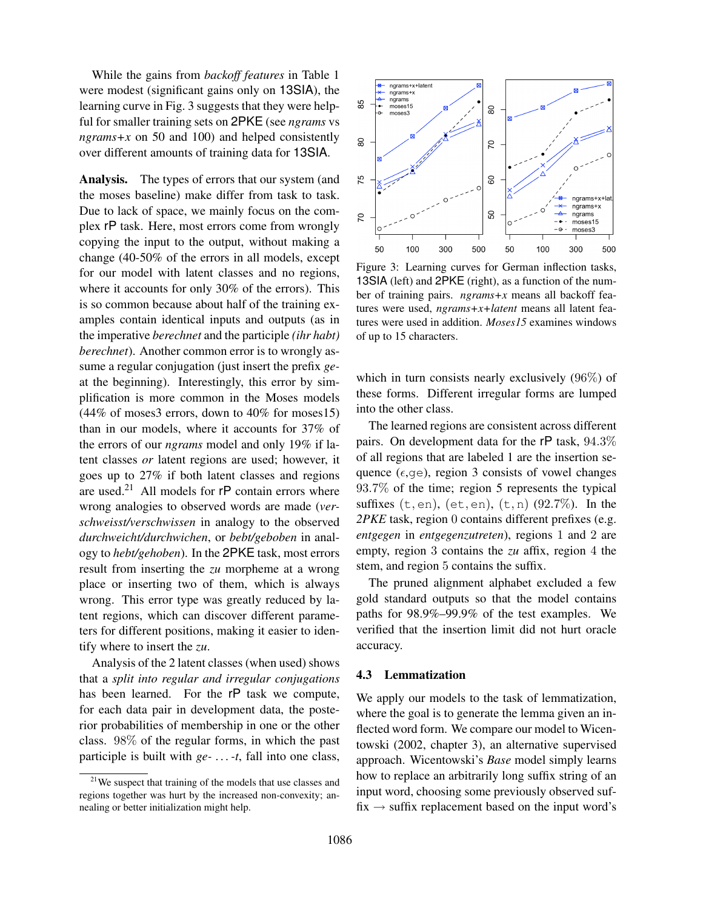While the gains from *backoff features* in Table 1 were modest (significant gains only on 13SIA), the learning curve in Fig. 3 suggests that they were helpful for smaller training sets on 2PKE (see *ngrams* vs *ngrams+x* on 50 and 100) and helped consistently over different amounts of training data for 13SIA.

Analysis. The types of errors that our system (and the moses baseline) make differ from task to task. Due to lack of space, we mainly focus on the complex rP task. Here, most errors come from wrongly copying the input to the output, without making a change (40-50% of the errors in all models, except for our model with latent classes and no regions, where it accounts for only 30% of the errors). This is so common because about half of the training examples contain identical inputs and outputs (as in the imperative *berechnet* and the participle *(ihr habt) berechnet*). Another common error is to wrongly assume a regular conjugation (just insert the prefix *ge*at the beginning). Interestingly, this error by simplification is more common in the Moses models (44% of moses3 errors, down to 40% for moses15) than in our models, where it accounts for 37% of the errors of our *ngrams* model and only 19% if latent classes *or* latent regions are used; however, it goes up to 27% if both latent classes and regions are used.<sup>21</sup> All models for  $rP$  contain errors where wrong analogies to observed words are made (*verschweisst/verschwissen* in analogy to the observed *durchweicht/durchwichen*, or *bebt/geboben* in analogy to *hebt/gehoben*). In the 2PKE task, most errors result from inserting the *zu* morpheme at a wrong place or inserting two of them, which is always wrong. This error type was greatly reduced by latent regions, which can discover different parameters for different positions, making it easier to identify where to insert the *zu*.

Analysis of the 2 latent classes (when used) shows that a *split into regular and irregular conjugations* has been learned. For the rP task we compute, for each data pair in development data, the posterior probabilities of membership in one or the other class. 98% of the regular forms, in which the past participle is built with *ge- . . . -t*, fall into one class,



Figure 3: Learning curves for German inflection tasks, 13SIA (left) and 2PKE (right), as a function of the number of training pairs. *ngrams+x* means all backoff features were used, *ngrams+x+latent* means all latent features were used in addition. *Moses15* examines windows of up to 15 characters.

which in turn consists nearly exclusively (96%) of these forms. Different irregular forms are lumped into the other class.

The learned regions are consistent across different pairs. On development data for the rP task, 94.3% of all regions that are labeled 1 are the insertion sequence ( $\epsilon$ , qe), region 3 consists of vowel changes 93.7% of the time; region 5 represents the typical suffixes  $(t, en)$ ,  $(et, en)$ ,  $(t, n)$   $(92.7\%)$ . In the *2PKE* task, region 0 contains different prefixes (e.g. *entgegen* in *entgegenzutreten*), regions 1 and 2 are empty, region 3 contains the *zu* affix, region 4 the stem, and region 5 contains the suffix.

The pruned alignment alphabet excluded a few gold standard outputs so that the model contains paths for 98.9%–99.9% of the test examples. We verified that the insertion limit did not hurt oracle accuracy.

# 4.3 Lemmatization

We apply our models to the task of lemmatization, where the goal is to generate the lemma given an inflected word form. We compare our model to Wicentowski (2002, chapter 3), an alternative supervised approach. Wicentowski's *Base* model simply learns how to replace an arbitrarily long suffix string of an input word, choosing some previously observed suffix  $\rightarrow$  suffix replacement based on the input word's

<sup>&</sup>lt;sup>21</sup>We suspect that training of the models that use classes and regions together was hurt by the increased non-convexity; annealing or better initialization might help.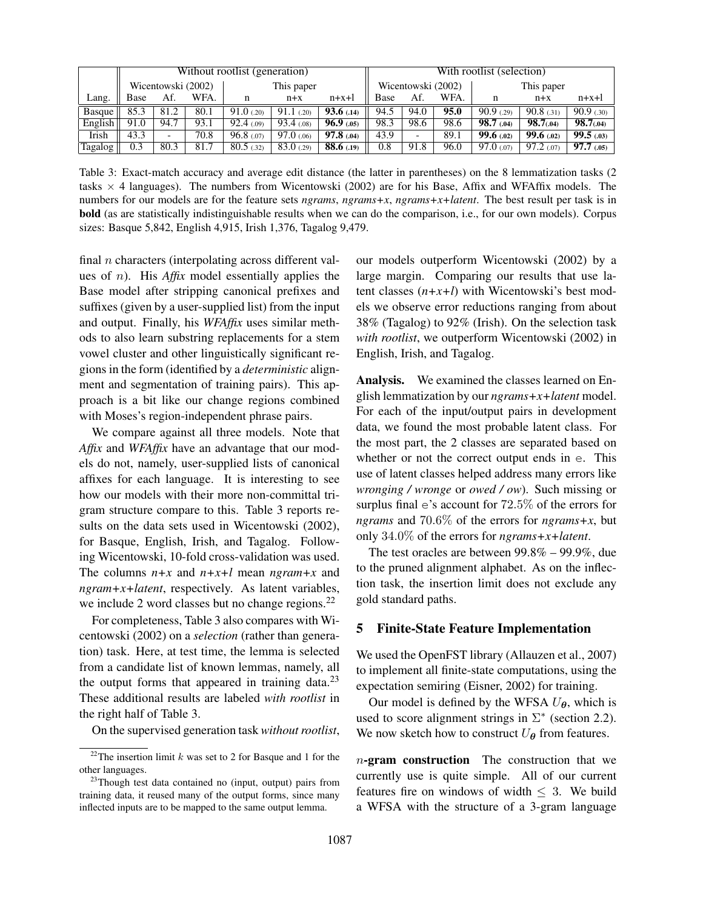|         |      |                          |                    | Without rootlist (generation) |                    |            | With rootlist (selection) |      |      |                 |                 |                |  |
|---------|------|--------------------------|--------------------|-------------------------------|--------------------|------------|---------------------------|------|------|-----------------|-----------------|----------------|--|
|         |      |                          | Wicentowski (2002) | This paper                    |                    |            | Wicentowski (2002)        |      |      | This paper      |                 |                |  |
| Lang.   | Base | Af.                      | WFA.               | n                             | $n+x+1$<br>$n + x$ |            | Base                      | Af.  | WFA. | n               | $n + x$         | $n+x+1$        |  |
| Basque  | 85.3 | 81.2                     | 80.1               | 91.0(20)                      | $91.1$ (.20)       | 93.6(.14)  | 94.5                      | 94.0 | 95.0 | 90.9(0.29)      | 90.8(0.31)      | 90.9(30)       |  |
| English | 91.0 | 94.7                     | 93.1               | 92.4(0.09)                    | 93.4(0.08)         | 96.9(0.05) | 98.3                      | 98.6 | 98.6 | 98.7(0.04)      | 98.7(04)        | 98.7(04)       |  |
| Irish   | 43.3 | $\overline{\phantom{0}}$ | 70.8               | 96.8(00)                      | $97.0 \,(0.06)$    | 97.8(0.04) | 43.9                      | -    | 89.1 | 99.6(0.02)      | 99.6(.02)       | 99.5(03)       |  |
| Tagalog | 0.3  | 80.3                     | 81.7               | 80.5(0.32)                    | 83.0(0.29)         | 88.6(0.19) | 0.8                       | 91.8 | 96.0 | $97.0 \,(0.07)$ | $97.2 \ (0.07)$ | $97.7 \,(.05)$ |  |

Table 3: Exact-match accuracy and average edit distance (the latter in parentheses) on the 8 lemmatization tasks (2 tasks  $\times$  4 languages). The numbers from Wicentowski (2002) are for his Base, Affix and WFAffix models. The numbers for our models are for the feature sets *ngrams*, *ngrams+x*, *ngrams+x+latent*. The best result per task is in bold (as are statistically indistinguishable results when we can do the comparison, i.e., for our own models). Corpus sizes: Basque 5,842, English 4,915, Irish 1,376, Tagalog 9,479.

final  $n$  characters (interpolating across different values of n). His *Affix* model essentially applies the Base model after stripping canonical prefixes and suffixes (given by a user-supplied list) from the input and output. Finally, his *WFAffix* uses similar methods to also learn substring replacements for a stem vowel cluster and other linguistically significant regions in the form (identified by a *deterministic* alignment and segmentation of training pairs). This approach is a bit like our change regions combined with Moses's region-independent phrase pairs.

We compare against all three models. Note that *Affix* and *WFAffix* have an advantage that our models do not, namely, user-supplied lists of canonical affixes for each language. It is interesting to see how our models with their more non-committal trigram structure compare to this. Table 3 reports results on the data sets used in Wicentowski (2002), for Basque, English, Irish, and Tagalog. Following Wicentowski, 10-fold cross-validation was used. The columns *n+x* and *n+x+l* mean *ngram+x* and *ngram+x+latent*, respectively. As latent variables, we include 2 word classes but no change regions. $^{22}$ 

For completeness, Table 3 also compares with Wicentowski (2002) on a *selection* (rather than generation) task. Here, at test time, the lemma is selected from a candidate list of known lemmas, namely, all the output forms that appeared in training data. $2<sup>3</sup>$ These additional results are labeled *with rootlist* in the right half of Table 3.

On the supervised generation task *without rootlist*,

our models outperform Wicentowski (2002) by a large margin. Comparing our results that use latent classes (*n+x+l*) with Wicentowski's best models we observe error reductions ranging from about 38% (Tagalog) to 92% (Irish). On the selection task *with rootlist*, we outperform Wicentowski (2002) in English, Irish, and Tagalog.

Analysis. We examined the classes learned on English lemmatization by our *ngrams+x+latent* model. For each of the input/output pairs in development data, we found the most probable latent class. For the most part, the 2 classes are separated based on whether or not the correct output ends in e. This use of latent classes helped address many errors like *wronging / wronge* or *owed / ow*). Such missing or surplus final e's account for 72.5% of the errors for *ngrams* and 70.6% of the errors for *ngrams+x*, but only 34.0% of the errors for *ngrams+x+latent*.

The test oracles are between 99.8% – 99.9%, due to the pruned alignment alphabet. As on the inflection task, the insertion limit does not exclude any gold standard paths.

## 5 Finite-State Feature Implementation

We used the OpenFST library (Allauzen et al., 2007) to implement all finite-state computations, using the expectation semiring (Eisner, 2002) for training.

Our model is defined by the WFSA  $U_{\theta}$ , which is used to score alignment strings in  $\Sigma^*$  (section 2.2). We now sketch how to construct  $U_{\theta}$  from features.

 $n$ -gram construction The construction that we currently use is quite simple. All of our current features fire on windows of width  $\leq$  3. We build a WFSA with the structure of a 3-gram language

<sup>&</sup>lt;sup>22</sup>The insertion limit  $k$  was set to 2 for Basque and 1 for the other languages.

<sup>&</sup>lt;sup>23</sup>Though test data contained no (input, output) pairs from training data, it reused many of the output forms, since many inflected inputs are to be mapped to the same output lemma.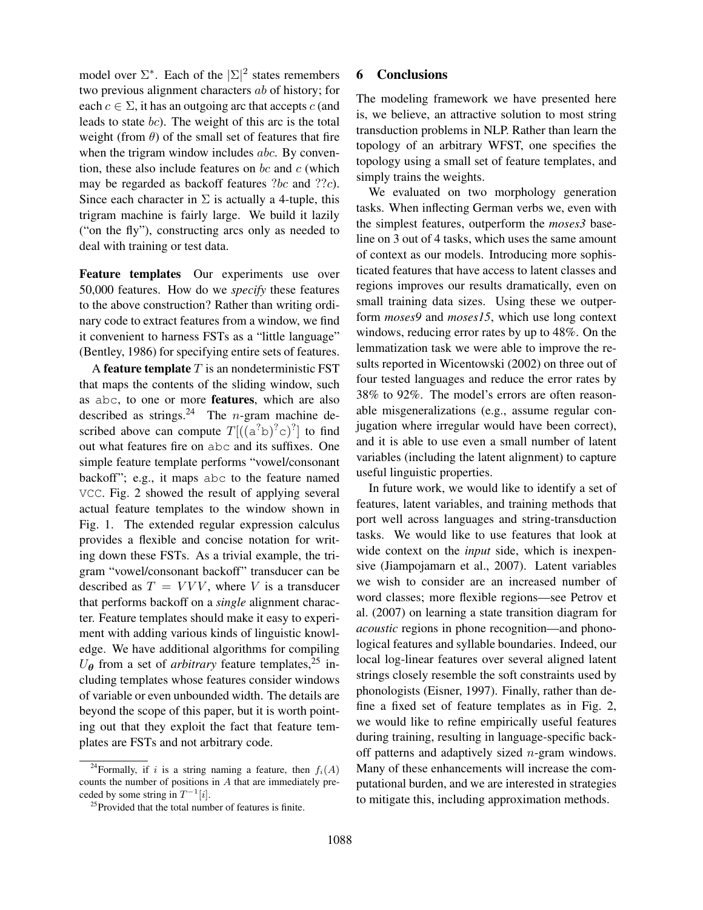model over  $\Sigma^*$ . Each of the  $|\Sigma|^2$  states remembers two previous alignment characters ab of history; for each  $c \in \Sigma$ , it has an outgoing arc that accepts c (and leads to state bc). The weight of this arc is the total weight (from  $\theta$ ) of the small set of features that fire when the trigram window includes *abc*. By convention, these also include features on  $bc$  and  $c$  (which may be regarded as backoff features ?bc and ??c). Since each character in  $\Sigma$  is actually a 4-tuple, this trigram machine is fairly large. We build it lazily ("on the fly"), constructing arcs only as needed to deal with training or test data.

Feature templates Our experiments use over 50,000 features. How do we *specify* these features to the above construction? Rather than writing ordinary code to extract features from a window, we find it convenient to harness FSTs as a "little language" (Bentley, 1986) for specifying entire sets of features.

A feature template  $T$  is an nondeterministic FST that maps the contents of the sliding window, such as abc, to one or more features, which are also described as strings.<sup>24</sup> The *n*-gram machine described above can compute  $T$ [ $((a^7b)^7c)^7$ ] to find out what features fire on abc and its suffixes. One simple feature template performs "vowel/consonant backoff"; e.g., it maps abc to the feature named VCC. Fig. 2 showed the result of applying several actual feature templates to the window shown in Fig. 1. The extended regular expression calculus provides a flexible and concise notation for writing down these FSTs. As a trivial example, the trigram "vowel/consonant backoff" transducer can be described as  $T = VVV$ , where V is a transducer that performs backoff on a *single* alignment character. Feature templates should make it easy to experiment with adding various kinds of linguistic knowledge. We have additional algorithms for compiling  $U_{\theta}$  from a set of *arbitrary* feature templates,<sup>25</sup> including templates whose features consider windows of variable or even unbounded width. The details are beyond the scope of this paper, but it is worth pointing out that they exploit the fact that feature templates are FSTs and not arbitrary code.

# 6 Conclusions

The modeling framework we have presented here is, we believe, an attractive solution to most string transduction problems in NLP. Rather than learn the topology of an arbitrary WFST, one specifies the topology using a small set of feature templates, and simply trains the weights.

We evaluated on two morphology generation tasks. When inflecting German verbs we, even with the simplest features, outperform the *moses3* baseline on 3 out of 4 tasks, which uses the same amount of context as our models. Introducing more sophisticated features that have access to latent classes and regions improves our results dramatically, even on small training data sizes. Using these we outperform *moses9* and *moses15*, which use long context windows, reducing error rates by up to 48%. On the lemmatization task we were able to improve the results reported in Wicentowski (2002) on three out of four tested languages and reduce the error rates by 38% to 92%. The model's errors are often reasonable misgeneralizations (e.g., assume regular conjugation where irregular would have been correct), and it is able to use even a small number of latent variables (including the latent alignment) to capture useful linguistic properties.

In future work, we would like to identify a set of features, latent variables, and training methods that port well across languages and string-transduction tasks. We would like to use features that look at wide context on the *input* side, which is inexpensive (Jiampojamarn et al., 2007). Latent variables we wish to consider are an increased number of word classes; more flexible regions—see Petrov et al. (2007) on learning a state transition diagram for *acoustic* regions in phone recognition—and phonological features and syllable boundaries. Indeed, our local log-linear features over several aligned latent strings closely resemble the soft constraints used by phonologists (Eisner, 1997). Finally, rather than define a fixed set of feature templates as in Fig. 2, we would like to refine empirically useful features during training, resulting in language-specific backoff patterns and adaptively sized  $n$ -gram windows. Many of these enhancements will increase the computational burden, and we are interested in strategies to mitigate this, including approximation methods.

<sup>&</sup>lt;sup>24</sup>Formally, if i is a string naming a feature, then  $f_i(A)$ counts the number of positions in A that are immediately preceded by some string in  $T^{-1}[i]$ .

 $^{25}$ Provided that the total number of features is finite.